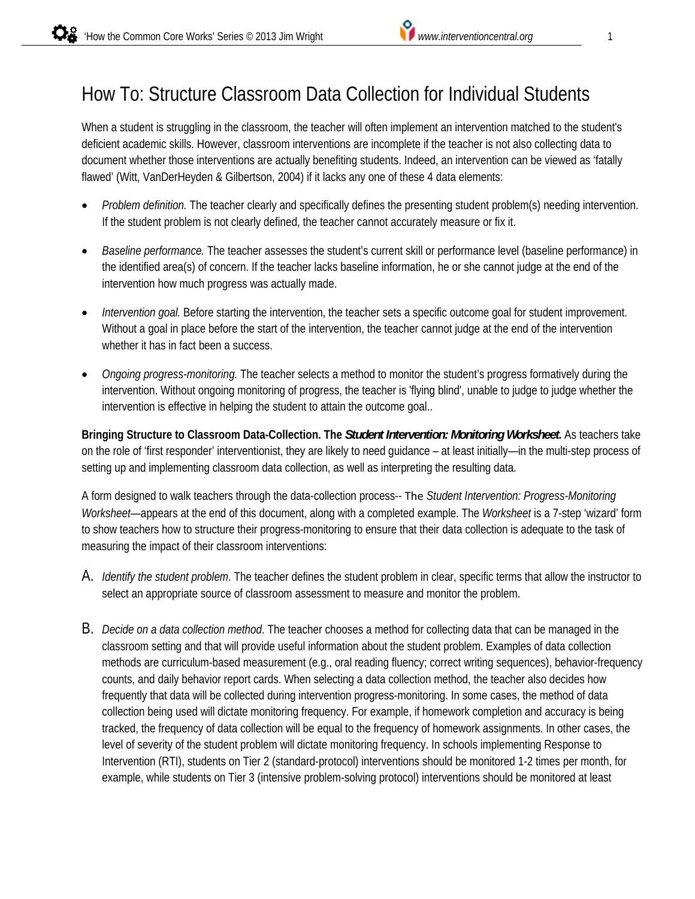## How To: Structure Classroom Data Collection for Individual Students

When a student is struggling in the classroom, the teacher will often implement an intervention matched to the student's deficient academic skills. However, classroom interventions are incomplete if the teacher is not also collecting data to document whether those interventions are actually benefiting students. Indeed, an intervention can be viewed as 'fatally flawed' (Witt, VanDerHeyden & Gilbertson, 2004) if it lacks any one of these 4 data elements:

- *Problem definition.* The teacher clearly and specifically defines the presenting student problem(s) needing intervention. If the student problem is not clearly defined, the teacher cannot accurately measure or fix it.
- *Baseline performance.* The teacher assesses the student's current skill or performance level (baseline performance) in the identified area(s) of concern. If the teacher lacks baseline information, he or she cannot judge at the end of the intervention how much progress was actually made.
- *Intervention goal.* Before starting the intervention, the teacher sets a specific outcome goal for student improvement. Without a goal in place before the start of the intervention, the teacher cannot judge at the end of the intervention whether it has in fact been a success.
- *Ongoing progress-monitoring.* The teacher selects a method to monitor the student's progress formatively during the intervention. Without ongoing monitoring of progress, the teacher is 'flying blind', unable to judge to judge whether the intervention is effective in helping the student to attain the outcome goal..

**Bringing Structure to Classroom Data-Collection. The** *Student Intervention: Monitoring Worksheet***.** As teachers take on the role of 'first responder' interventionist, they are likely to need guidance – at least initially—in the multi-step process of setting up and implementing classroom data collection, as well as interpreting the resulting data.

A form designed to walk teachers through the data-collection process-- The *Student Intervention: Progress-Monitoring Worksheet*—appears at the end of this document, along with a completed example. The *Worksheet* is a 7-step 'wizard' form to show teachers how to structure their progress-monitoring to ensure that their data collection is adequate to the task of measuring the impact of their classroom interventions:

- A. *Identify the student problem*. The teacher defines the student problem in clear, specific terms that allow the instructor to select an appropriate source of classroom assessment to measure and monitor the problem.
- B. *Decide on a data collection method*. The teacher chooses a method for collecting data that can be managed in the classroom setting and that will provide useful information about the student problem. Examples of data collection methods are curriculum-based measurement (e.g., oral reading fluency; correct writing sequences), behavior-frequency counts, and daily behavior report cards. When selecting a data collection method, the teacher also decides how frequently that data will be collected during intervention progress-monitoring. In some cases, the method of data collection being used will dictate monitoring frequency. For example, if homework completion and accuracy is being tracked, the frequency of data collection will be equal to the frequency of homework assignments. In other cases, the level of severity of the student problem will dictate monitoring frequency. In schools implementing Response to Intervention (RTI), students on Tier 2 (standard-protocol) interventions should be monitored 1-2 times per month, for example, while students on Tier 3 (intensive problem-solving protocol) interventions should be monitored at least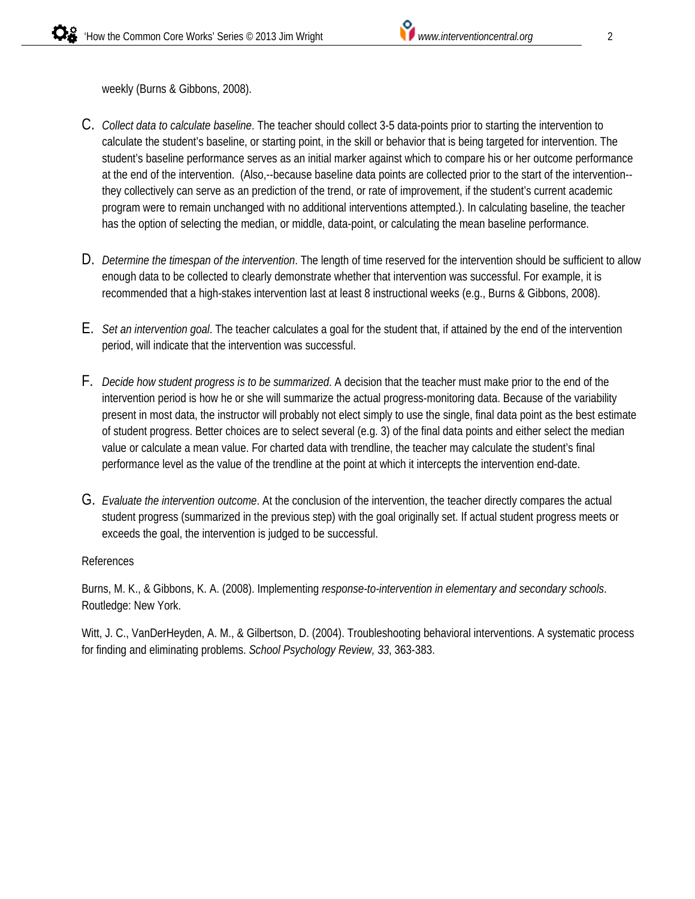weekly (Burns & Gibbons, 2008).

- C. *Collect data to calculate baseline*. The teacher should collect 3-5 data-points prior to starting the intervention to calculate the student's baseline, or starting point, in the skill or behavior that is being targeted for intervention. The student's baseline performance serves as an initial marker against which to compare his or her outcome performance at the end of the intervention. (Also,--because baseline data points are collected prior to the start of the intervention- they collectively can serve as an prediction of the trend, or rate of improvement, if the student's current academic program were to remain unchanged with no additional interventions attempted.). In calculating baseline, the teacher has the option of selecting the median, or middle, data-point, or calculating the mean baseline performance.
- D. *Determine the timespan of the intervention*. The length of time reserved for the intervention should be sufficient to allow enough data to be collected to clearly demonstrate whether that intervention was successful. For example, it is recommended that a high-stakes intervention last at least 8 instructional weeks (e.g., Burns & Gibbons, 2008).
- E. *Set an intervention goal*. The teacher calculates a goal for the student that, if attained by the end of the intervention period, will indicate that the intervention was successful.
- F. *Decide how student progress is to be summarized*. A decision that the teacher must make prior to the end of the intervention period is how he or she will summarize the actual progress-monitoring data. Because of the variability present in most data, the instructor will probably not elect simply to use the single, final data point as the best estimate of student progress. Better choices are to select several (e.g. 3) of the final data points and either select the median value or calculate a mean value. For charted data with trendline, the teacher may calculate the student's final performance level as the value of the trendline at the point at which it intercepts the intervention end-date.
- G. *Evaluate the intervention outcome*. At the conclusion of the intervention, the teacher directly compares the actual student progress (summarized in the previous step) with the goal originally set. If actual student progress meets or exceeds the goal, the intervention is judged to be successful.

## References

Burns, M. K., & Gibbons, K. A. (2008). Implementing *response-to-intervention in elementary and secondary schools*. Routledge: New York.

Witt, J. C., VanDerHeyden, A. M., & Gilbertson, D. (2004). Troubleshooting behavioral interventions. A systematic process for finding and eliminating problems. *School Psychology Review, 33*, 363-383.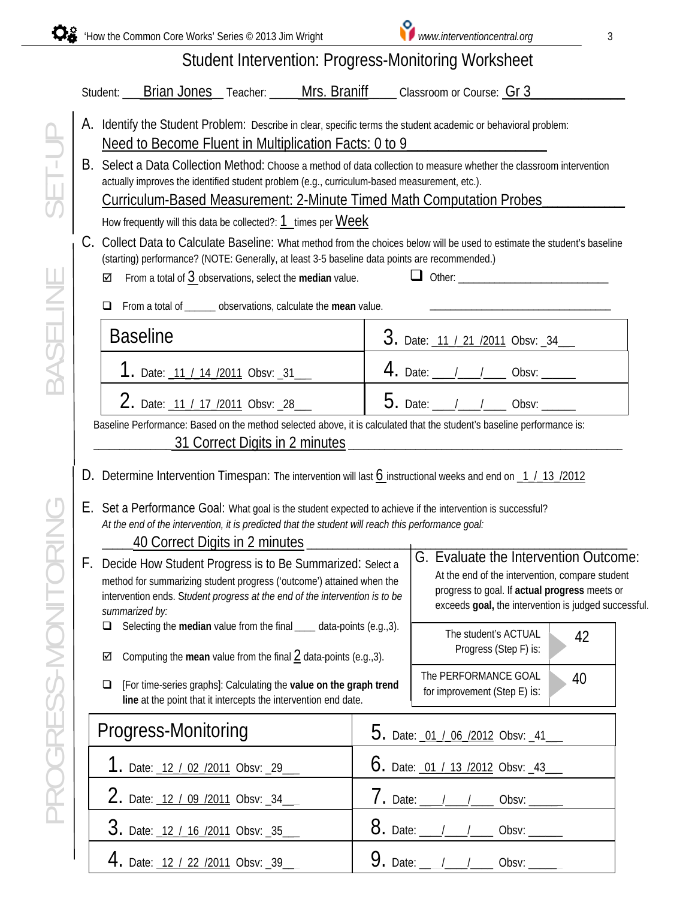| 'How the Common Core Works' Series © 2013 Jim Wright                                                                                                                                                                                                                                                                                                              | www.interventioncentral.org<br>3                   |
|-------------------------------------------------------------------------------------------------------------------------------------------------------------------------------------------------------------------------------------------------------------------------------------------------------------------------------------------------------------------|----------------------------------------------------|
| Student Intervention: Progress-Monitoring Worksheet                                                                                                                                                                                                                                                                                                               |                                                    |
| Student: __ <u>__Brian_Jones___</u> Teacher: ______ <u>Mrs. Braniff</u> _____ Classroom or Course: <u>Gr_3</u>                                                                                                                                                                                                                                                    |                                                    |
| ${\sf A}.$ Identify the Student Problem: Describe in clear, specific terms the student academic or behavioral problem:<br>Need to Become Fluent in Multiplication Facts: 0 to 9                                                                                                                                                                                   |                                                    |
| В.<br>Select a Data Collection Method: Choose a method of data collection to measure whether the classroom intervention<br>actually improves the identified student problem (e.g., curriculum-based measurement, etc.).<br><b>Curriculum-Based Measurement: 2-Minute Timed Math Computation Probes</b>                                                            |                                                    |
| How frequently will this data be collected?: 1_times per Week<br>C.<br>Collect Data to Calculate Baseline: What method from the choices below will be used to estimate the student's baseline<br>(starting) performance? (NOTE: Generally, at least 3-5 baseline data points are recommended.)<br>From a total of $3$ observations, select the median value.<br>☑ |                                                    |
| From a total of ______ observations, calculate the mean value.<br>Q<br><b>Baseline</b>                                                                                                                                                                                                                                                                            | 3. Date: $\frac{11/21}{2011}$ Obsv: $\frac{34}{1}$ |
| 1. Date: 11 / 14 / 2011 Obsv: 31                                                                                                                                                                                                                                                                                                                                  | 4. Date: <u>/ / / Obsv:</u>                        |
| 2. Date: 11 / 17 / 2011 Obsv: 28                                                                                                                                                                                                                                                                                                                                  | 5. Date: $1/2$ Obsv:                               |
| Baseline Performance: Based on the method selected above, it is calculated that the student's baseline performance is:<br>31 Correct Digits in 2 minutes                                                                                                                                                                                                          |                                                    |
|                                                                                                                                                                                                                                                                                                                                                                   |                                                    |

- D. Determine Intervention Timespan: The intervention will last 6 instructional weeks and end on 1/13/2012
- E. Set a Performance Goal: What goal is the student expected to achieve if the intervention is successful? *At the end of the intervention, it is predicted that the student will reach this performance goal:*  \_\_\_\_\_\_40 Correct Digits in 2 minutes \_\_\_\_\_\_\_\_\_\_\_\_\_\_\_\_\_\_\_\_\_\_\_\_\_\_\_\_\_\_\_\_\_\_\_\_\_\_\_\_\_\_\_\_\_\_\_\_\_\_\_\_\_\_\_\_\_\_\_\_\_\_

| $\frac{18}{2811}$ such Bigits in Extintuities<br>Decide How Student Progress is to Be Summarized: Select a<br>H.,<br>method for summarizing student progress ('outcome') attained when the<br>intervention ends. Student progress at the end of the intervention is to be<br>summarized by: | G. Evaluate the Intervention Outcome:<br>At the end of the intervention, compare student<br>progress to goal. If actual progress meets or<br>exceeds goal, the intervention is judged successful.                                                                                                                                                                                                                     |
|---------------------------------------------------------------------------------------------------------------------------------------------------------------------------------------------------------------------------------------------------------------------------------------------|-----------------------------------------------------------------------------------------------------------------------------------------------------------------------------------------------------------------------------------------------------------------------------------------------------------------------------------------------------------------------------------------------------------------------|
| Selecting the median value from the final _____ data-points (e.g.,3).<br>Computing the mean value from the final $2$ data-points (e.g., 3).<br>☑                                                                                                                                            | The student's ACTUAL<br>42<br>Progress (Step F) is:                                                                                                                                                                                                                                                                                                                                                                   |
| [For time-series graphs]: Calculating the value on the graph trend<br>o.<br>line at the point that it intercepts the intervention end date.                                                                                                                                                 | The PERFORMANCE GOAL<br>40<br>for improvement (Step E) is:                                                                                                                                                                                                                                                                                                                                                            |
| Progress-Monitoring                                                                                                                                                                                                                                                                         | 5. Date: 01 / 06 /2012 Obsv: 41                                                                                                                                                                                                                                                                                                                                                                                       |
| 1. Date: 12 / 02 / 2011 Obsv: 29                                                                                                                                                                                                                                                            | <b>6.</b> Date: $\frac{01}{13}$ /2012 Obsv: $-43$                                                                                                                                                                                                                                                                                                                                                                     |
| 2. Date: 12 / 09 / 2011 Obsv: _34___                                                                                                                                                                                                                                                        | $\frac{1}{\sqrt{1-\frac{1}{1-\frac{1}{1-\frac{1}{1-\frac{1}{1-\frac{1}{1-\frac{1}{1-\frac{1}{1-\frac{1}{1-\frac{1}{1-\frac{1}{1-\frac{1}{1-\frac{1}{1-\frac{1}{1-\frac{1}{1-\frac{1}{1-\frac{1}{1-\frac{1}{1-\frac{1}{1-\frac{1}{1-\frac{1}{1-\frac{1}{1-\frac{1}{1-\frac{1}{1-\frac{1}{1-\frac{1}{1-\frac{1}{1-\frac{1}{1-\frac{1}{1-\frac{1}{1-\frac{1}{1-\frac{1}{1-\frac{1}{1-\frac{1}{1-\frac{1}{1-\frac{1}{1-\$ |
| 3. Date: 12 / 16 / 2011 Obsv: 35                                                                                                                                                                                                                                                            | 8. Date: 1 1 0bsv:                                                                                                                                                                                                                                                                                                                                                                                                    |
| 4. Date: 12 / 22 / 2011 Obsv: 39                                                                                                                                                                                                                                                            | 9. Date: $\frac{1}{2}$ / $\frac{1}{2}$ Obsv:                                                                                                                                                                                                                                                                                                                                                                          |

PROGRESS-MONITORING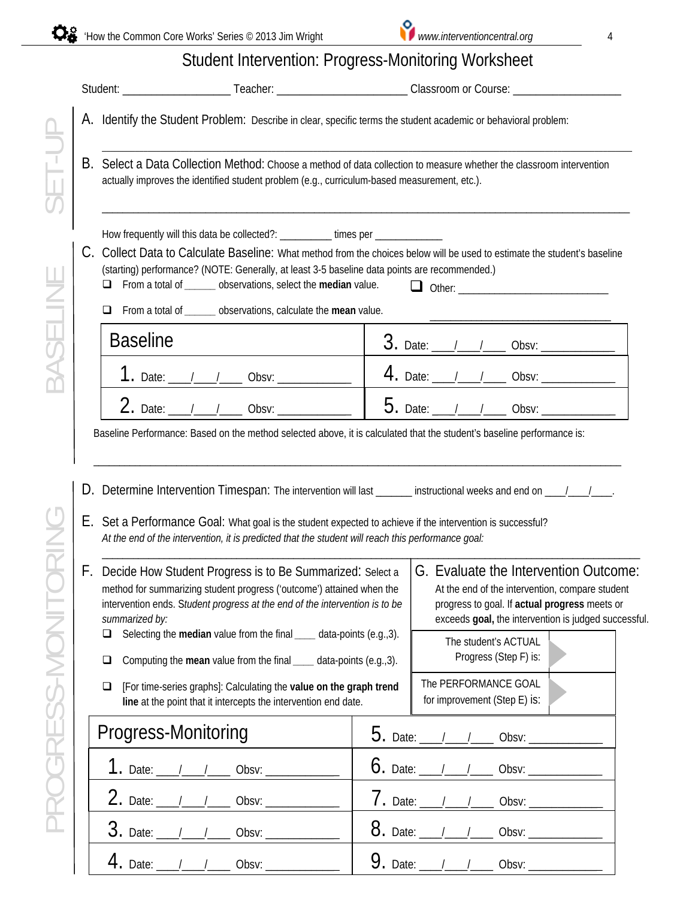## Student Intervention: Progress-Monitoring Worksheet

|                 |                                                                                                                                                                                                                                                                                                                       | A. Identify the Student Problem: Describe in clear, specific terms the student academic or behavioral problem:                                                                                                                             |  |
|-----------------|-----------------------------------------------------------------------------------------------------------------------------------------------------------------------------------------------------------------------------------------------------------------------------------------------------------------------|--------------------------------------------------------------------------------------------------------------------------------------------------------------------------------------------------------------------------------------------|--|
|                 | B. Select a Data Collection Method: Choose a method of data collection to measure whether the classroom intervention<br>actually improves the identified student problem (e.g., curriculum-based measurement, etc.).                                                                                                  |                                                                                                                                                                                                                                            |  |
| $\Box$          | How frequently will this data be collected?: _________times per ________________<br>(starting) performance? (NOTE: Generally, at least 3-5 baseline data points are recommended.)<br>From a total of ______ observations, select the median value.<br>From a total of _______ observations, calculate the mean value. | Collect Data to Calculate Baseline: What method from the choices below will be used to estimate the student's baseline                                                                                                                     |  |
| <b>Baseline</b> |                                                                                                                                                                                                                                                                                                                       | <u>3. Date: / / / Obsv:</u>                                                                                                                                                                                                                |  |
|                 |                                                                                                                                                                                                                                                                                                                       |                                                                                                                                                                                                                                            |  |
|                 |                                                                                                                                                                                                                                                                                                                       |                                                                                                                                                                                                                                            |  |
|                 |                                                                                                                                                                                                                                                                                                                       | Baseline Performance: Based on the method selected above, it is calculated that the student's baseline performance is:                                                                                                                     |  |
| Е.              | At the end of the intervention, it is predicted that the student will reach this performance goal:                                                                                                                                                                                                                    | D. Determine Intervention Timespan: The intervention will last ______ instructional weeks and end on $\underline{\hspace{1cm}}$<br>Set a Performance Goal: What goal is the student expected to achieve if the intervention is successful? |  |
| summarized by:  | F. Decide How Student Progress is to Be Summarized: Select a<br>method for summarizing student progress ('outcome') attained when the<br>intervention ends. Student progress at the end of the intervention is to be                                                                                                  | G. Evaluate the Intervention Outcome:<br>At the end of the intervention, compare student<br>progress to goal. If actual progress meets or<br>exceeds goal, the intervention is judged successful.                                          |  |
| ❏<br>$\Box$     | Selecting the median value from the final ____ data-points (e.g.,3).<br>Computing the mean value from the final ____ data-points (e.g.,3).                                                                                                                                                                            | The student's ACTUAL<br>Progress (Step F) is:                                                                                                                                                                                              |  |
| $\Box$          | [For time-series graphs]: Calculating the value on the graph trend<br>line at the point that it intercepts the intervention end date.                                                                                                                                                                                 | The PERFORMANCE GOAL<br>for improvement (Step E) is:                                                                                                                                                                                       |  |
|                 | Progress-Monitoring                                                                                                                                                                                                                                                                                                   |                                                                                                                                                                                                                                            |  |
|                 |                                                                                                                                                                                                                                                                                                                       | 6. Date: $\frac{1}{\sqrt{2}}$ Obsv:                                                                                                                                                                                                        |  |
|                 | 2. Date: $\frac{1}{2}$ Obsv:                                                                                                                                                                                                                                                                                          | 7. Date: $\frac{1}{\sqrt{2}}$ Obsv:                                                                                                                                                                                                        |  |
|                 |                                                                                                                                                                                                                                                                                                                       |                                                                                                                                                                                                                                            |  |